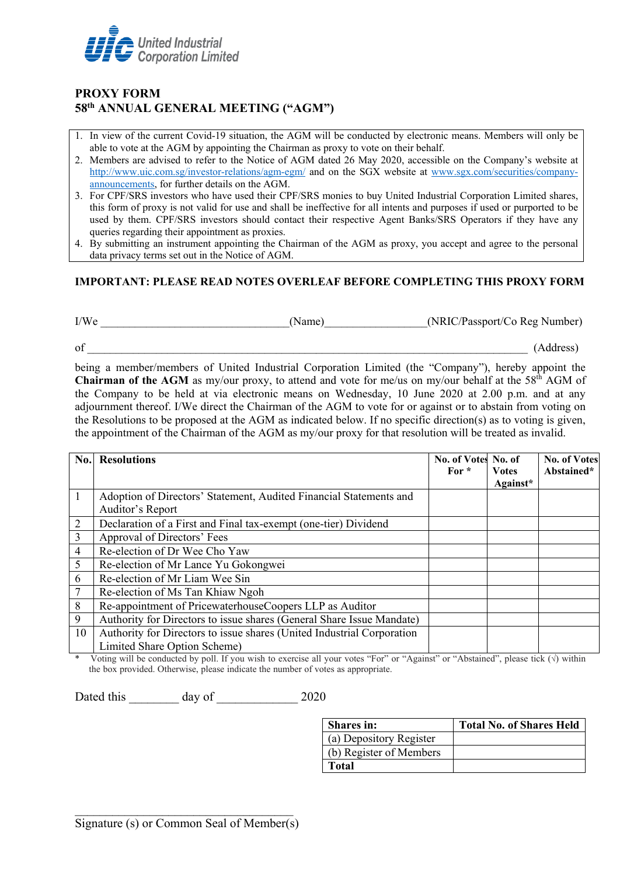

## **PROXY FORM 58th ANNUAL GENERAL MEETING ("AGM")**

- 1. In view of the current Covid-19 situation, the AGM will be conducted by electronic means. Members will only be able to vote at the AGM by appointing the Chairman as proxy to vote on their behalf.
- 2. Members are advised to refer to the Notice of AGM dated 26 May 2020, accessible on the Company's website at <http://www.uic.com.sg/investor-relations/agm-egm/> and on the SGX website at [www.sgx.com/securities/company](http://www.sgx.com/securities/company-announcements)[announcements,](http://www.sgx.com/securities/company-announcements) for further details on the AGM.
- 3. For CPF/SRS investors who have used their CPF/SRS monies to buy United Industrial Corporation Limited shares, this form of proxy is not valid for use and shall be ineffective for all intents and purposes if used or purported to be used by them. CPF/SRS investors should contact their respective Agent Banks/SRS Operators if they have any queries regarding their appointment as proxies.
- 4. By submitting an instrument appointing the Chairman of the AGM as proxy, you accept and agree to the personal data privacy terms set out in the Notice of AGM.

## **IMPORTANT: PLEASE READ NOTES OVERLEAF BEFORE COMPLETING THIS PROXY FORM**

| I/We | Name | (NRIC/Passport/Co Reg Number) |
|------|------|-------------------------------|
|      |      |                               |

 $\sigma$ f  $\qquad \qquad$  (Address)

being a member/members of United Industrial Corporation Limited (the "Company"), hereby appoint the **Chairman of the AGM** as my/our proxy, to attend and vote for me/us on my/our behalf at the 58<sup>th</sup> AGM of the Company to be held at via electronic means on Wednesday, 10 June 2020 at 2.00 p.m. and at any adjournment thereof. I/We direct the Chairman of the AGM to vote for or against or to abstain from voting on the Resolutions to be proposed at the AGM as indicated below. If no specific direction(s) as to voting is given, the appointment of the Chairman of the AGM as my/our proxy for that resolution will be treated as invalid.

| No. | <b>Resolutions</b>                                                                     | No. of Votes No. of<br>For $*$ | <b>Votes</b><br>Against* | <b>No. of Votes</b><br>Abstained* |
|-----|----------------------------------------------------------------------------------------|--------------------------------|--------------------------|-----------------------------------|
|     | Adoption of Directors' Statement, Audited Financial Statements and<br>Auditor's Report |                                |                          |                                   |
| 2   | Declaration of a First and Final tax-exempt (one-tier) Dividend                        |                                |                          |                                   |
| 3   | Approval of Directors' Fees                                                            |                                |                          |                                   |
| 4   | Re-election of Dr Wee Cho Yaw                                                          |                                |                          |                                   |
| 5   | Re-election of Mr Lance Yu Gokongwei                                                   |                                |                          |                                   |
| 6   | Re-election of Mr Liam Wee Sin                                                         |                                |                          |                                   |
|     | Re-election of Ms Tan Khiaw Ngoh                                                       |                                |                          |                                   |
| 8   | Re-appointment of PricewaterhouseCoopers LLP as Auditor                                |                                |                          |                                   |
| 9   | Authority for Directors to issue shares (General Share Issue Mandate)                  |                                |                          |                                   |
| 10  | Authority for Directors to issue shares (United Industrial Corporation                 |                                |                          |                                   |
|     | Limited Share Option Scheme)                                                           |                                |                          |                                   |

Voting will be conducted by poll. If you wish to exercise all your votes "For" or "Against" or "Abstained", please tick  $(\sqrt{})$  within the box provided. Otherwise, please indicate the number of votes as appropriate.

Dated this day of 2020

| <b>Shares</b> in:       | <b>Total No. of Shares Held</b> |
|-------------------------|---------------------------------|
| (a) Depository Register |                                 |
| (b) Register of Members |                                 |
| Total                   |                                 |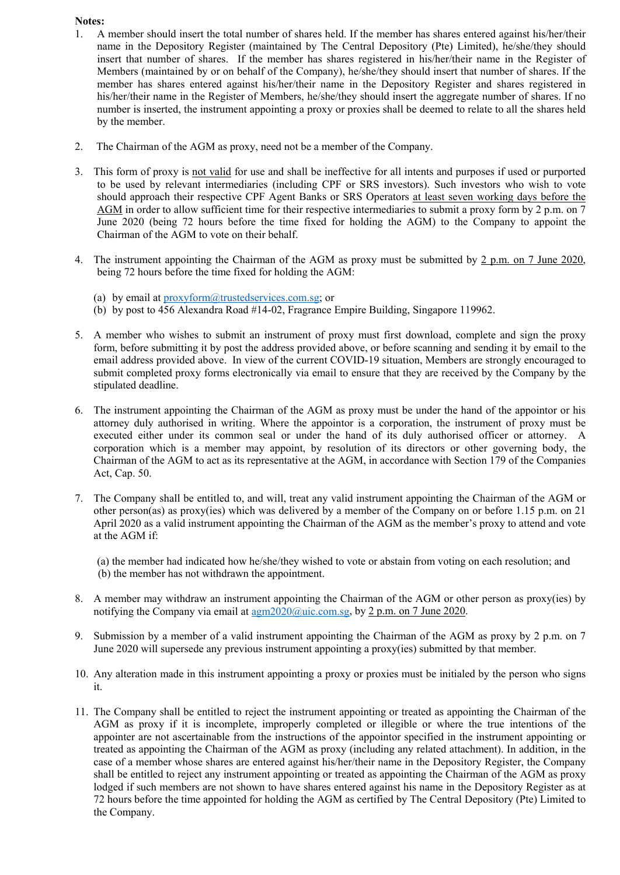## **Notes:**

- 1. A member should insert the total number of shares held. If the member has shares entered against his/her/their name in the Depository Register (maintained by The Central Depository (Pte) Limited), he/she/they should insert that number of shares. If the member has shares registered in his/her/their name in the Register of Members (maintained by or on behalf of the Company), he/she/they should insert that number of shares. If the member has shares entered against his/her/their name in the Depository Register and shares registered in his/her/their name in the Register of Members, he/she/they should insert the aggregate number of shares. If no number is inserted, the instrument appointing a proxy or proxies shall be deemed to relate to all the shares held by the member.
- 2. The Chairman of the AGM as proxy, need not be a member of the Company.
- 3. This form of proxy is not valid for use and shall be ineffective for all intents and purposes if used or purported to be used by relevant intermediaries (including CPF or SRS investors). Such investors who wish to vote should approach their respective CPF Agent Banks or SRS Operators at least seven working days before the AGM in order to allow sufficient time for their respective intermediaries to submit a proxy form by 2 p.m. on 7 June 2020 (being 72 hours before the time fixed for holding the AGM) to the Company to appoint the Chairman of the AGM to vote on their behalf.
- 4. The instrument appointing the Chairman of the AGM as proxy must be submitted by 2 p.m. on 7 June 2020, being 72 hours before the time fixed for holding the AGM:
	- (a) by email at  $proxvform@trusted services.comsg; or$
	- (b) by post to 456 Alexandra Road #14-02, Fragrance Empire Building, Singapore 119962.
- 5. A member who wishes to submit an instrument of proxy must first download, complete and sign the proxy form, before submitting it by post the address provided above, or before scanning and sending it by email to the email address provided above. In view of the current COVID-19 situation, Members are strongly encouraged to submit completed proxy forms electronically via email to ensure that they are received by the Company by the stipulated deadline.
- 6. The instrument appointing the Chairman of the AGM as proxy must be under the hand of the appointor or his attorney duly authorised in writing. Where the appointor is a corporation, the instrument of proxy must be executed either under its common seal or under the hand of its duly authorised officer or attorney. A corporation which is a member may appoint, by resolution of its directors or other governing body, the Chairman of the AGM to act as its representative at the AGM, in accordance with Section 179 of the Companies Act, Cap. 50.
- 7. The Company shall be entitled to, and will, treat any valid instrument appointing the Chairman of the AGM or other person(as) as proxy(ies) which was delivered by a member of the Company on or before 1.15 p.m. on 21 April 2020 as a valid instrument appointing the Chairman of the AGM as the member's proxy to attend and vote at the AGM if:

(a) the member had indicated how he/she/they wished to vote or abstain from voting on each resolution; and (b) the member has not withdrawn the appointment.

- 8. A member may withdraw an instrument appointing the Chairman of the AGM or other person as proxy(ies) by notifying the Company via email at  $\frac{agn2020}{\omega}$ uic.com.sg, by 2 p.m. on 7 June 2020.
- 9. Submission by a member of a valid instrument appointing the Chairman of the AGM as proxy by 2 p.m. on 7 June 2020 will supersede any previous instrument appointing a proxy(ies) submitted by that member.
- 10. Any alteration made in this instrument appointing a proxy or proxies must be initialed by the person who signs it.
- 11. The Company shall be entitled to reject the instrument appointing or treated as appointing the Chairman of the AGM as proxy if it is incomplete, improperly completed or illegible or where the true intentions of the appointer are not ascertainable from the instructions of the appointor specified in the instrument appointing or treated as appointing the Chairman of the AGM as proxy (including any related attachment). In addition, in the case of a member whose shares are entered against his/her/their name in the Depository Register, the Company shall be entitled to reject any instrument appointing or treated as appointing the Chairman of the AGM as proxy lodged if such members are not shown to have shares entered against his name in the Depository Register as at 72 hours before the time appointed for holding the AGM as certified by The Central Depository (Pte) Limited to the Company.